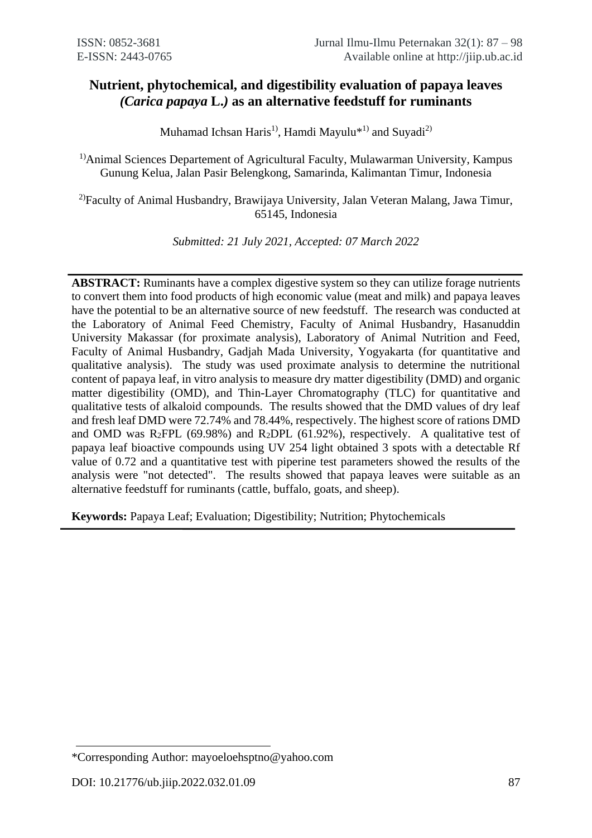# **Nutrient, phytochemical, and digestibility evaluation of papaya leaves**  *(Carica papaya* **L.***)* **as an alternative feedstuff for ruminants**

Muhamad Ichsan Haris<sup>1)</sup>, Hamdi Mayulu<sup>\*1)</sup> and Suyadi<sup>2)</sup>

<sup>1)</sup>Animal Sciences Departement of Agricultural Faculty, Mulawarman University, Kampus Gunung Kelua, Jalan Pasir Belengkong, Samarinda, Kalimantan Timur, Indonesia

2)Faculty of Animal Husbandry, Brawijaya University, Jalan Veteran Malang, Jawa Timur, 65145, Indonesia

*Submitted: 21 July 2021, Accepted: 07 March 2022*

**ABSTRACT:** Ruminants have a complex digestive system so they can utilize forage nutrients to convert them into food products of high economic value (meat and milk) and papaya leaves have the potential to be an alternative source of new feedstuff. The research was conducted at the Laboratory of Animal Feed Chemistry, Faculty of Animal Husbandry, Hasanuddin University Makassar (for proximate analysis), Laboratory of Animal Nutrition and Feed, Faculty of Animal Husbandry, Gadjah Mada University, Yogyakarta (for quantitative and qualitative analysis). The study was used proximate analysis to determine the nutritional content of papaya leaf, in vitro analysis to measure dry matter digestibility (DMD) and organic matter digestibility (OMD), and Thin-Layer Chromatography (TLC) for quantitative and qualitative tests of alkaloid compounds. The results showed that the DMD values of dry leaf and fresh leaf DMD were 72.74% and 78.44%, respectively. The highest score of rations DMD and OMD was  $R_2$ FPL (69.98%) and  $R_2$ DPL (61.92%), respectively. A qualitative test of papaya leaf bioactive compounds using UV 254 light obtained 3 spots with a detectable Rf value of 0.72 and a quantitative test with piperine test parameters showed the results of the analysis were "not detected". The results showed that papaya leaves were suitable as an alternative feedstuff for ruminants (cattle, buffalo, goats, and sheep).

**Keywords:** Papaya Leaf; Evaluation; Digestibility; Nutrition; Phytochemicals

<sup>\*</sup>Corresponding Author: mayoeloehsptno@yahoo.com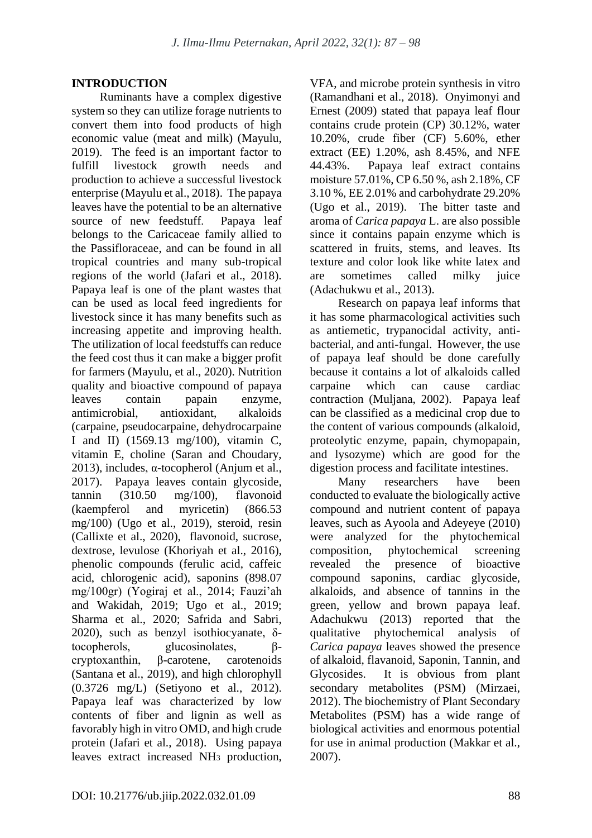# **INTRODUCTION**

Ruminants have a complex digestive system so they can utilize forage nutrients to convert them into food products of high economic value (meat and milk) (Mayulu, 2019). The feed is an important factor to fulfill livestock growth needs and production to achieve a successful livestock enterprise (Mayulu et al., 2018). The papaya leaves have the potential to be an alternative source of new feedstuff. Papaya leaf belongs to the Caricaceae family allied to the Passifloraceae, and can be found in all tropical countries and many sub-tropical regions of the world (Jafari et al., 2018). Papaya leaf is one of the plant wastes that can be used as local feed ingredients for livestock since it has many benefits such as increasing appetite and improving health. The utilization of local feedstuffs can reduce the feed cost thus it can make a bigger profit for farmers (Mayulu, et al., 2020). Nutrition quality and bioactive compound of papaya leaves contain papain enzyme, antimicrobial, antioxidant, alkaloids (carpaine, pseudocarpaine, dehydrocarpaine I and II) (1569.13 mg/100), vitamin C, vitamin E, choline (Saran and Choudary, 2013), includes, α-tocopherol (Anjum et al., 2017). Papaya leaves contain glycoside, tannin (310.50 mg/100), flavonoid (kaempferol and myricetin) (866.53 mg/100) (Ugo et al., 2019), steroid, resin (Callixte et al., 2020), flavonoid, sucrose, dextrose, levulose (Khoriyah et al., 2016), phenolic compounds (ferulic acid, caffeic acid, chlorogenic acid), saponins (898.07 mg/100gr) (Yogiraj et al., 2014; Fauzi'ah and Wakidah, 2019; Ugo et al., 2019; Sharma et al., 2020; Safrida and Sabri, 2020), such as benzyl isothiocyanate, δtocopherols, glucosinolates, βcryptoxanthin, β-carotene, carotenoids (Santana et al., 2019), and high chlorophyll (0.3726 mg/L) (Setiyono et al., 2012). Papaya leaf was characterized by low contents of fiber and lignin as well as favorably high in vitro OMD, and high crude protein (Jafari et al., 2018). Using papaya leaves extract increased NH<sup>3</sup> production,

VFA, and microbe protein synthesis in vitro (Ramandhani et al., 2018). Onyimonyi and Ernest (2009) stated that papaya leaf flour contains crude protein (CP) 30.12%, water 10.20%, crude fiber (CF) 5.60%, ether extract (EE) 1.20%, ash 8.45%, and NFE 44.43%. Papaya leaf extract contains moisture 57.01%, CP 6.50 %, ash 2.18%, CF 3.10 %, EE 2.01% and carbohydrate 29.20% (Ugo et al., 2019). The bitter taste and aroma of *Carica papaya* L. are also possible since it contains papain enzyme which is scattered in fruits, stems, and leaves. Its texture and color look like white latex and are sometimes called milky juice (Adachukwu et al., 2013).

Research on papaya leaf informs that it has some pharmacological activities such as antiemetic, trypanocidal activity, antibacterial, and anti-fungal. However, the use of papaya leaf should be done carefully because it contains a lot of alkaloids called carpaine which can cause cardiac contraction (Muljana, 2002). Papaya leaf can be classified as a medicinal crop due to the content of various compounds (alkaloid, proteolytic enzyme, papain, chymopapain, and lysozyme) which are good for the digestion process and facilitate intestines.

Many researchers have been conducted to evaluate the biologically active compound and nutrient content of papaya leaves, such as Ayoola and Adeyeye (2010) were analyzed for the phytochemical composition, phytochemical screening revealed the presence of bioactive compound saponins, cardiac glycoside, alkaloids, and absence of tannins in the green, yellow and brown papaya leaf. Adachukwu (2013) reported that the qualitative phytochemical analysis of *Carica papaya* leaves showed the presence of alkaloid, flavanoid, Saponin, Tannin, and Glycosides. It is obvious from plant secondary metabolites (PSM) (Mirzaei, 2012). The biochemistry of Plant Secondary Metabolites (PSM) has a wide range of biological activities and enormous potential for use in animal production (Makkar et al., 2007).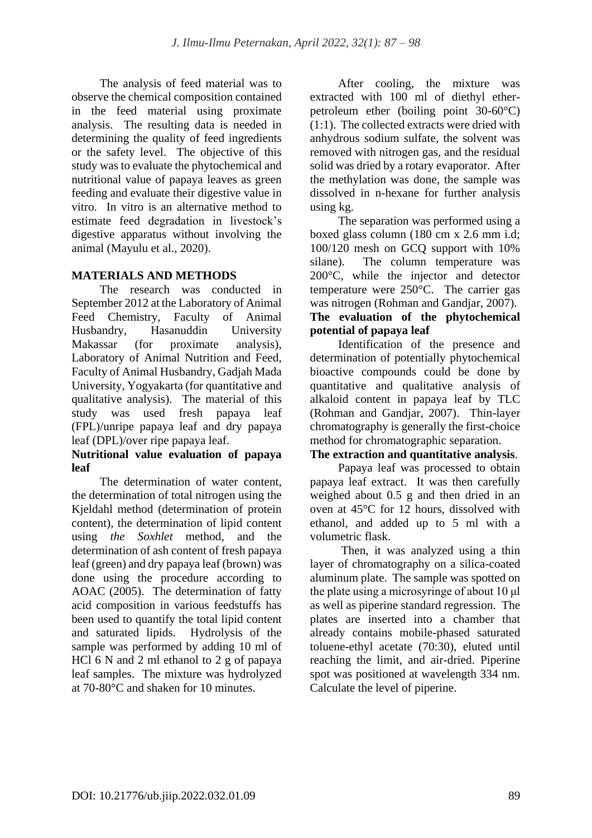The analysis of feed material was to observe the chemical composition contained in the feed material using proximate analysis. The resulting data is needed in determining the quality of feed ingredients or the safety level. The objective of this study was to evaluate the phytochemical and nutritional value of papaya leaves as green feeding and evaluate their digestive value in vitro. In vitro is an alternative method to estimate feed degradation in livestock's digestive apparatus without involving the animal (Mayulu et al., 2020).

# **MATERIALS AND METHODS**

The research was conducted in September 2012 at the Laboratory of Animal Feed Chemistry, Faculty of Animal Husbandry, Hasanuddin University Makassar (for proximate analysis), Laboratory of Animal Nutrition and Feed, Faculty of Animal Husbandry, Gadjah Mada University, Yogyakarta (for quantitative and qualitative analysis). The material of this study was used fresh papaya leaf (FPL)/unripe papaya leaf and dry papaya leaf (DPL)/over ripe papaya leaf.

# **Nutritional value evaluation of papaya leaf**

The determination of water content, the determination of total nitrogen using the Kjeldahl method (determination of protein content), the determination of lipid content using *the Soxhlet* method, and the determination of ash content of fresh papaya leaf (green) and dry papaya leaf (brown) was done using the procedure according to AOAC (2005). The determination of fatty acid composition in various feedstuffs has been used to quantify the total lipid content and saturated lipids. Hydrolysis of the sample was performed by adding 10 ml of HCl 6 N and 2 ml ethanol to 2 g of papaya leaf samples. The mixture was hydrolyzed at 70-80°C and shaken for 10 minutes.

After cooling, the mixture was extracted with 100 ml of diethyl etherpetroleum ether (boiling point 30-60°C) (1:1). The collected extracts were dried with anhydrous sodium sulfate, the solvent was removed with nitrogen gas, and the residual solid was dried by a rotary evaporator. After the methylation was done, the sample was dissolved in n-hexane for further analysis using kg.

The separation was performed using a boxed glass column (180 cm x 2.6 mm i.d; 100/120 mesh on GCQ support with 10% silane). The column temperature was 200°C, while the injector and detector temperature were 250°C. The carrier gas was nitrogen (Rohman and Gandjar, 2007).

### **The evaluation of the phytochemical potential of papaya leaf**

Identification of the presence and determination of potentially phytochemical bioactive compounds could be done by quantitative and qualitative analysis of alkaloid content in papaya leaf by TLC (Rohman and Gandjar, 2007). Thin-layer chromatography is generally the first-choice method for chromatographic separation.

# **The extraction and quantitative analysis**.

Papaya leaf was processed to obtain papaya leaf extract. It was then carefully weighed about 0.5 g and then dried in an oven at 45°C for 12 hours, dissolved with ethanol, and added up to 5 ml with a volumetric flask.

Then, it was analyzed using a thin layer of chromatography on a silica-coated aluminum plate. The sample was spotted on the plate using a microsyringe of about 10 μl as well as piperine standard regression. The plates are inserted into a chamber that already contains mobile-phased saturated toluene-ethyl acetate (70:30), eluted until reaching the limit, and air-dried. Piperine spot was positioned at wavelength 334 nm. Calculate the level of piperine.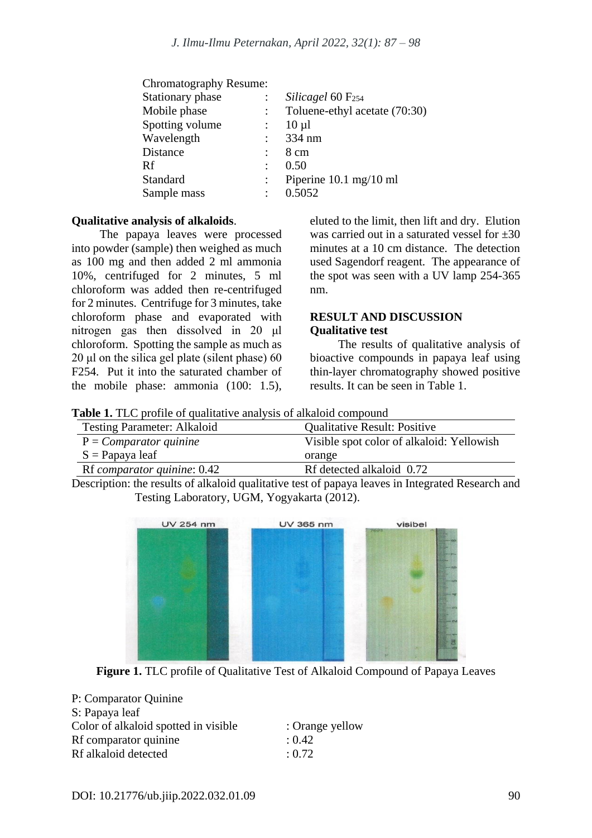| Chromatography Resume: |                                          |
|------------------------|------------------------------------------|
|                        | Silicagel 60 F <sub>254</sub>            |
|                        | Toluene-ethyl acetate (70:30)            |
|                        | $10 \mu l$                               |
|                        | 334 nm                                   |
|                        | 8 cm                                     |
| $\ddot{\phantom{a}}$   | 0.50                                     |
|                        | Piperine $10.1 \text{ mg}/10 \text{ ml}$ |
|                        | 0.5052                                   |
|                        |                                          |

#### **Qualitative analysis of alkaloids**.

The papaya leaves were processed into powder (sample) then weighed as much as 100 mg and then added 2 ml ammonia 10%, centrifuged for 2 minutes, 5 ml chloroform was added then re-centrifuged for 2 minutes. Centrifuge for 3 minutes, take chloroform phase and evaporated with nitrogen gas then dissolved in 20 μl chloroform. Spotting the sample as much as  $20$  μl on the silica gel plate (silent phase) 60 F254. Put it into the saturated chamber of the mobile phase: ammonia (100: 1.5), eluted to the limit, then lift and dry. Elution was carried out in a saturated vessel for  $\pm 30$ minutes at a 10 cm distance. The detection used Sagendorf reagent. The appearance of the spot was seen with a UV lamp 254-365 nm.

#### **RESULT AND DISCUSSION Qualitative test**

The results of qualitative analysis of bioactive compounds in papaya leaf using thin-layer chromatography showed positive results. It can be seen in Table 1.

**Table 1.** TLC profile of qualitative analysis of alkaloid compound

| <b>Testing Parameter: Alkaloid</b> | <b>Qualitative Result: Positive</b>       |
|------------------------------------|-------------------------------------------|
| $P = Compactor$ quinine            | Visible spot color of alkaloid: Yellowish |
| $S =$ Papaya leaf                  | orange                                    |
| Rf comparator quinine: 0.42        | Rf detected alkaloid 0.72                 |

Description: the results of alkaloid qualitative test of papaya leaves in Integrated Research and Testing Laboratory, UGM, Yogyakarta (2012).



**Figure 1.** TLC profile of Qualitative Test of Alkaloid Compound of Papaya Leaves

| P: Comparator Quinine                |                 |
|--------------------------------------|-----------------|
| S: Papaya leaf                       |                 |
| Color of alkaloid spotted in visible | : Orange yellow |
| Rf comparator quinine                | : 0.42          |
| Rf alkaloid detected                 | : 0.72          |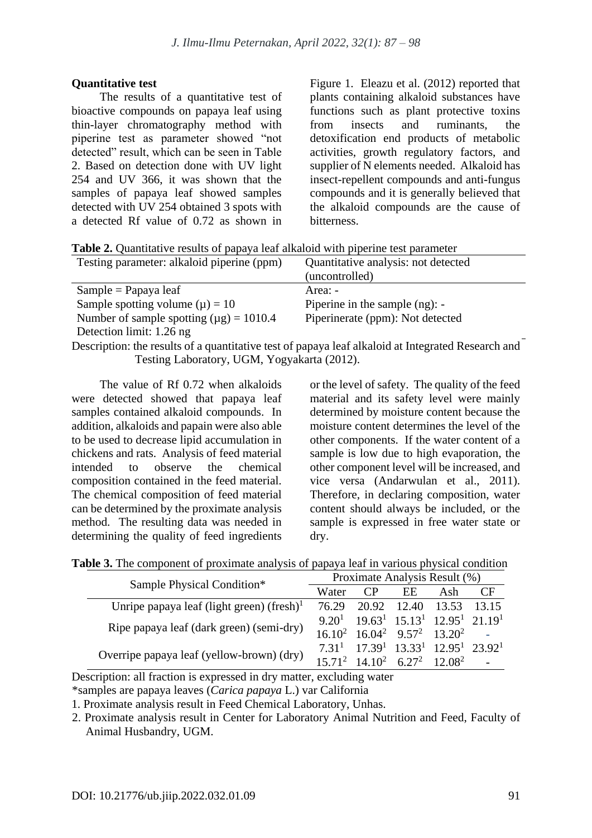#### **Quantitative test**

The results of a quantitative test of bioactive compounds on papaya leaf using thin-layer chromatography method with piperine test as parameter showed "not detected" result, which can be seen in Table 2. Based on detection done with UV light 254 and UV 366, it was shown that the samples of papaya leaf showed samples detected with UV 254 obtained 3 spots with a detected Rf value of 0.72 as shown in Figure 1. Eleazu et al. (2012) reported that plants containing alkaloid substances have functions such as plant protective toxins from insects and ruminants, the detoxification end products of metabolic activities, growth regulatory factors, and supplier of N elements needed. Alkaloid has insect-repellent compounds and anti-fungus compounds and it is generally believed that the alkaloid compounds are the cause of bitterness.

| Testing parameter: alkaloid piperine (ppm)   | Quantitative analysis: not detected |
|----------------------------------------------|-------------------------------------|
|                                              | (uncontrolled)                      |
| $Sample = Papaya leaf$                       | Area: -                             |
| Sample spotting volume $(\mu) = 10$          | Piperine in the sample $(ng)$ : -   |
| Number of sample spotting $(\mu g) = 1010.4$ | Piperinerate (ppm): Not detected    |
| Detection limit: 1.26 ng                     |                                     |

Description: the results of a quantitative test of papaya leaf alkaloid at Integrated Research and Testing Laboratory, UGM, Yogyakarta (2012).

The value of Rf 0.72 when alkaloids were detected showed that papaya leaf samples contained alkaloid compounds. In addition, alkaloids and papain were also able to be used to decrease lipid accumulation in chickens and rats. Analysis of feed material intended to observe the chemical composition contained in the feed material. The chemical composition of feed material can be determined by the proximate analysis method. The resulting data was needed in determining the quality of feed ingredients or the level of safety. The quality of the feed material and its safety level were mainly determined by moisture content because the moisture content determines the level of the other components. If the water content of a sample is low due to high evaporation, the other component level will be increased, and vice versa (Andarwulan et al., 2011). Therefore, in declaring composition, water content should always be included, or the sample is expressed in free water state or dry.

| Table 3. The component of proximate analysis of papaya leaf in various physical condition |  |  |  |  |
|-------------------------------------------------------------------------------------------|--|--|--|--|
|-------------------------------------------------------------------------------------------|--|--|--|--|

|                                                                        |       | Proximate Analysis Result (%)                  |     |                                                                                     |    |  |
|------------------------------------------------------------------------|-------|------------------------------------------------|-----|-------------------------------------------------------------------------------------|----|--|
| Sample Physical Condition*                                             | Water | $\mathsf{CP}$                                  | EE. | Ash                                                                                 | CF |  |
| Unripe papaya leaf (light green) (fresh) <sup><math>\perp</math></sup> | 76.29 |                                                |     | 20.92 12.40 13.53 13.15                                                             |    |  |
|                                                                        |       |                                                |     | $9.201$ 19.63 <sup>1</sup> 15.13 <sup>1</sup> 12.95 <sup>1</sup> 21.19 <sup>1</sup> |    |  |
| Ripe papaya leaf (dark green) (semi-dry)                               |       | $16.10^{2}$ $16.04^{2}$ $9.57^{2}$ $13.20^{2}$ |     |                                                                                     |    |  |
|                                                                        |       |                                                |     | $7.311$ $17.391$ $13.331$ $12.951$ $23.921$                                         |    |  |
| Overripe papaya leaf (yellow-brown) (dry)                              |       | $15.71^2$ $14.10^2$ $6.27^2$ $12.08^2$         |     |                                                                                     |    |  |

Description: all fraction is expressed in dry matter, excluding water

\*samples are papaya leaves (*Carica papaya* L.) var California

1. Proximate analysis result in Feed Chemical Laboratory, Unhas.

2. Proximate analysis result in Center for Laboratory Animal Nutrition and Feed, Faculty of Animal Husbandry, UGM.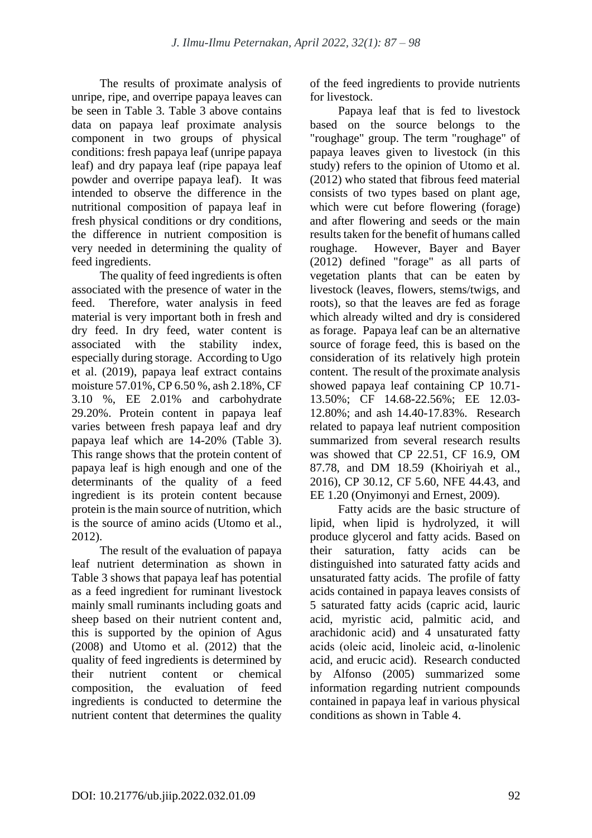The results of proximate analysis of unripe, ripe, and overripe papaya leaves can be seen in Table 3. Table 3 above contains data on papaya leaf proximate analysis component in two groups of physical conditions: fresh papaya leaf (unripe papaya leaf) and dry papaya leaf (ripe papaya leaf powder and overripe papaya leaf). It was intended to observe the difference in the nutritional composition of papaya leaf in fresh physical conditions or dry conditions, the difference in nutrient composition is very needed in determining the quality of feed ingredients.

The quality of feed ingredients is often associated with the presence of water in the feed. Therefore, water analysis in feed material is very important both in fresh and dry feed. In dry feed, water content is associated with the stability index, especially during storage. According to Ugo et al. (2019), papaya leaf extract contains moisture 57.01%, CP 6.50 %, ash 2.18%, CF 3.10 %, EE 2.01% and carbohydrate 29.20%. Protein content in papaya leaf varies between fresh papaya leaf and dry papaya leaf which are 14-20% (Table 3). This range shows that the protein content of papaya leaf is high enough and one of the determinants of the quality of a feed ingredient is its protein content because protein is the main source of nutrition, which is the source of amino acids (Utomo et al., 2012).

The result of the evaluation of papaya leaf nutrient determination as shown in Table 3 shows that papaya leaf has potential as a feed ingredient for ruminant livestock mainly small ruminants including goats and sheep based on their nutrient content and, this is supported by the opinion of Agus (2008) and Utomo et al. (2012) that the quality of feed ingredients is determined by their nutrient content or chemical composition, the evaluation of feed ingredients is conducted to determine the nutrient content that determines the quality of the feed ingredients to provide nutrients for livestock.

Papaya leaf that is fed to livestock based on the source belongs to the "roughage" group. The term "roughage" of papaya leaves given to livestock (in this study) refers to the opinion of Utomo et al. (2012) who stated that fibrous feed material consists of two types based on plant age, which were cut before flowering (forage) and after flowering and seeds or the main results taken for the benefit of humans called roughage. However, Bayer and Bayer (2012) defined "forage" as all parts of vegetation plants that can be eaten by livestock (leaves, flowers, stems/twigs, and roots), so that the leaves are fed as forage which already wilted and dry is considered as forage. Papaya leaf can be an alternative source of forage feed, this is based on the consideration of its relatively high protein content. The result of the proximate analysis showed papaya leaf containing CP 10.71- 13.50%; CF 14.68-22.56%; EE 12.03- 12.80%; and ash 14.40-17.83%. Research related to papaya leaf nutrient composition summarized from several research results was showed that CP 22.51, CF 16.9, OM 87.78, and DM 18.59 (Khoiriyah et al., 2016), CP 30.12, CF 5.60, NFE 44.43, and EE 1.20 (Onyimonyi and Ernest, 2009).

Fatty acids are the basic structure of lipid, when lipid is hydrolyzed, it will produce glycerol and fatty acids. Based on their saturation, fatty acids can be distinguished into saturated fatty acids and unsaturated fatty acids. The profile of fatty acids contained in papaya leaves consists of 5 saturated fatty acids (capric acid, lauric acid, myristic acid, palmitic acid, and arachidonic acid) and 4 unsaturated fatty acids (oleic acid, linoleic acid, α-linolenic acid, and erucic acid). Research conducted by Alfonso (2005) summarized some information regarding nutrient compounds contained in papaya leaf in various physical conditions as shown in Table 4.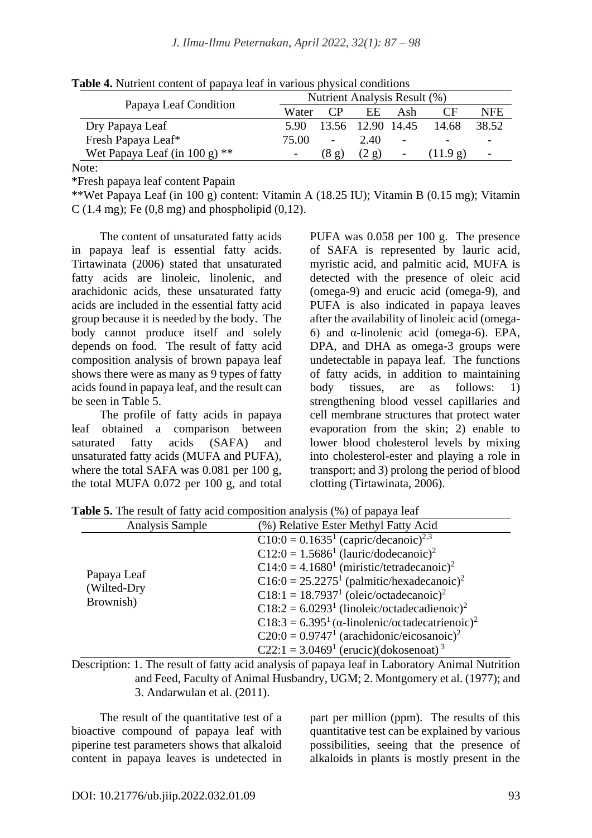|                                 |       |          | Nutrient Analysis Result (%) |     |          |                          |
|---------------------------------|-------|----------|------------------------------|-----|----------|--------------------------|
| Papaya Leaf Condition           | Water | $\Gamma$ | EE.                          | Ash | $\Gamma$ | <b>NFE</b>               |
| Dry Papaya Leaf                 | 5.90  |          | 13.56 12.90 14.45            |     | 14.68    | 38.52                    |
| Fresh Papaya Leaf*              | 75.00 | -        | 2.40                         | -   |          |                          |
| Wet Papaya Leaf (in 100 g) $**$ |       | (8g)     | (2g)                         |     | (11.9 g) | $\overline{\phantom{0}}$ |
| Note:                           |       |          |                              |     |          |                          |

**Table 4.** Nutrient content of papaya leaf in various physical conditions

Note:

\*Fresh papaya leaf content Papain

\*\*Wet Papaya Leaf (in 100 g) content: Vitamin A (18.25 IU); Vitamin B (0.15 mg); Vitamin C (1.4 mg); Fe (0,8 mg) and phospholipid (0,12).

The content of unsaturated fatty acids in papaya leaf is essential fatty acids. Tirtawinata (2006) stated that unsaturated fatty acids are linoleic, linolenic, and arachidonic acids, these unsaturated fatty acids are included in the essential fatty acid group because it is needed by the body. The body cannot produce itself and solely depends on food. The result of fatty acid composition analysis of brown papaya leaf shows there were as many as 9 types of fatty acids found in papaya leaf, and the result can be seen in Table 5.

The profile of fatty acids in papaya leaf obtained a comparison between saturated fatty acids (SAFA) and unsaturated fatty acids (MUFA and PUFA), where the total SAFA was 0.081 per 100 g, the total MUFA 0.072 per 100 g, and total PUFA was 0.058 per 100 g. The presence of SAFA is represented by lauric acid, myristic acid, and palmitic acid, MUFA is detected with the presence of oleic acid (omega-9) and erucic acid (omega-9), and PUFA is also indicated in papaya leaves after the availability of linoleic acid (omega-6) and α-linolenic acid (omega-6). EPA, DPA, and DHA as omega-3 groups were undetectable in papaya leaf. The functions of fatty acids, in addition to maintaining body tissues, are as follows: 1) strengthening blood vessel capillaries and cell membrane structures that protect water evaporation from the skin; 2) enable to lower blood cholesterol levels by mixing into cholesterol-ester and playing a role in transport; and 3) prolong the period of blood clotting (Tirtawinata, 2006).

| Analysis Sample            | (%) Relative Ester Methyl Fatty Acid                                                                                                                                                                                                                                                                           |
|----------------------------|----------------------------------------------------------------------------------------------------------------------------------------------------------------------------------------------------------------------------------------------------------------------------------------------------------------|
| Papaya Leaf<br>(Wilted-Dry | $C10:0 = 0.16351$ (capric/decanoic) <sup>2,3</sup><br>$C12:0 = 1.56861$ (lauric/dodecanoic) <sup>2</sup><br>$C14:0 = 4.16801$ (miristic/tetradecanoic) <sup>2</sup><br>$C16:0 = 25.22751$ (palmitic/hexadecanoic) <sup>2</sup>                                                                                 |
| Brownish)                  | $C18:1 = 18.79371$ (oleic/octadecanoic) <sup>2</sup><br>$C18:2 = 6.02931$ (linoleic/octadecadienoic) <sup>2</sup><br>C18:3 = $6.395^1$ ( $\alpha$ -linolenic/octadecatrienoic) <sup>2</sup><br>$C20:0 = 0.97471$ (arachidonic/eicosanoic) <sup>2</sup><br>C22:1 = $3.0469^1$ (erucic)(dokosenoat) <sup>3</sup> |

**Table 5.** The result of fatty acid composition analysis (%) of papaya leaf

Description: 1. The result of fatty acid analysis of papaya leaf in Laboratory Animal Nutrition and Feed, Faculty of Animal Husbandry, UGM; 2. Montgomery et al. (1977); and 3. Andarwulan et al. (2011).

The result of the quantitative test of a bioactive compound of papaya leaf with piperine test parameters shows that alkaloid content in papaya leaves is undetected in part per million (ppm). The results of this quantitative test can be explained by various possibilities, seeing that the presence of alkaloids in plants is mostly present in the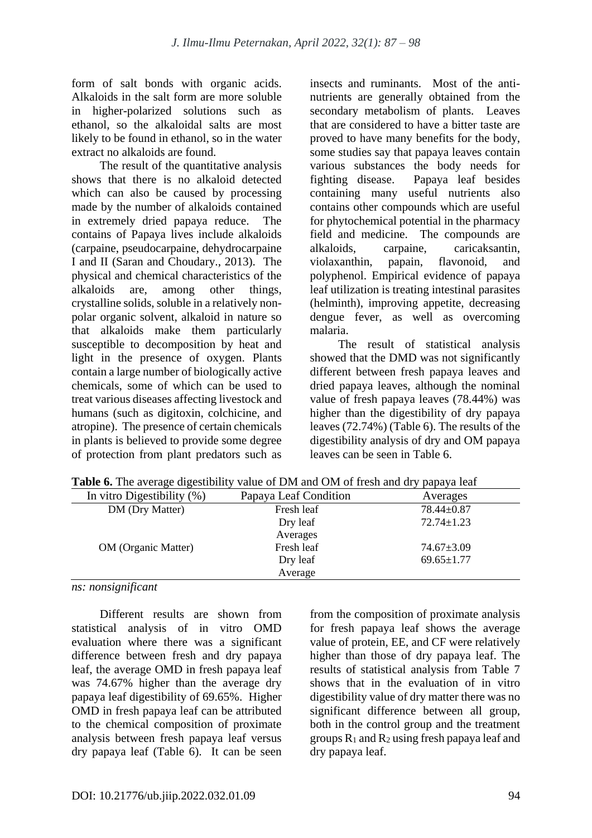form of salt bonds with organic acids. Alkaloids in the salt form are more soluble in higher-polarized solutions such as ethanol, so the alkaloidal salts are most likely to be found in ethanol, so in the water extract no alkaloids are found.

The result of the quantitative analysis shows that there is no alkaloid detected which can also be caused by processing made by the number of alkaloids contained in extremely dried papaya reduce. The contains of Papaya lives include alkaloids (carpaine, pseudocarpaine, dehydrocarpaine I and II (Saran and Choudary., 2013). The physical and chemical characteristics of the alkaloids are, among other things, crystalline solids, soluble in a relatively nonpolar organic solvent, alkaloid in nature so that alkaloids make them particularly susceptible to decomposition by heat and light in the presence of oxygen. Plants contain a large number of biologically active chemicals, some of which can be used to treat various diseases affecting livestock and humans (such as digitoxin, colchicine, and atropine). The presence of certain chemicals in plants is believed to provide some degree of protection from plant predators such as insects and ruminants. Most of the antinutrients are generally obtained from the secondary metabolism of plants. Leaves that are considered to have a bitter taste are proved to have many benefits for the body, some studies say that papaya leaves contain various substances the body needs for fighting disease. Papaya leaf besides containing many useful nutrients also contains other compounds which are useful for phytochemical potential in the pharmacy field and medicine. The compounds are alkaloids, carpaine, caricaksantin, violaxanthin, papain, flavonoid, and polyphenol. Empirical evidence of papaya leaf utilization is treating intestinal parasites (helminth), improving appetite, decreasing dengue fever, as well as overcoming malaria.

The result of statistical analysis showed that the DMD was not significantly different between fresh papaya leaves and dried papaya leaves, although the nominal value of fresh papaya leaves (78.44%) was higher than the digestibility of dry papaya leaves (72.74%) (Table 6). The results of the digestibility analysis of dry and OM papaya leaves can be seen in Table 6.

| <b>Table 6.</b> The average digestibility value of DM and OM of fresh and dry papaya leaf |                       |                  |  |  |
|-------------------------------------------------------------------------------------------|-----------------------|------------------|--|--|
| In vitro Digestibility (%)                                                                | Papaya Leaf Condition | Averages         |  |  |
| DM (Dry Matter)                                                                           | Fresh leaf            | $78.44 \pm 0.87$ |  |  |
|                                                                                           | Dry leaf              | $72.74 \pm 1.23$ |  |  |
|                                                                                           | Averages              |                  |  |  |
| <b>OM</b> (Organic Matter)                                                                | Fresh leaf            | $74.67 \pm 3.09$ |  |  |
|                                                                                           | Dry leaf              | $69.65 \pm 1.77$ |  |  |
|                                                                                           | Average               |                  |  |  |

**Table 6.** The average digestibility value of DM and OM of fresh and dry papaya leaf

*ns: nonsignificant*

Different results are shown from statistical analysis of in vitro OMD evaluation where there was a significant difference between fresh and dry papaya leaf, the average OMD in fresh papaya leaf was 74.67% higher than the average dry papaya leaf digestibility of 69.65%. Higher OMD in fresh papaya leaf can be attributed to the chemical composition of proximate analysis between fresh papaya leaf versus dry papaya leaf (Table 6). It can be seen from the composition of proximate analysis for fresh papaya leaf shows the average value of protein, EE, and CF were relatively higher than those of dry papaya leaf. The results of statistical analysis from Table 7 shows that in the evaluation of in vitro digestibility value of dry matter there was no significant difference between all group, both in the control group and the treatment groups R<sup>1</sup> and R<sup>2</sup> using fresh papaya leaf and dry papaya leaf.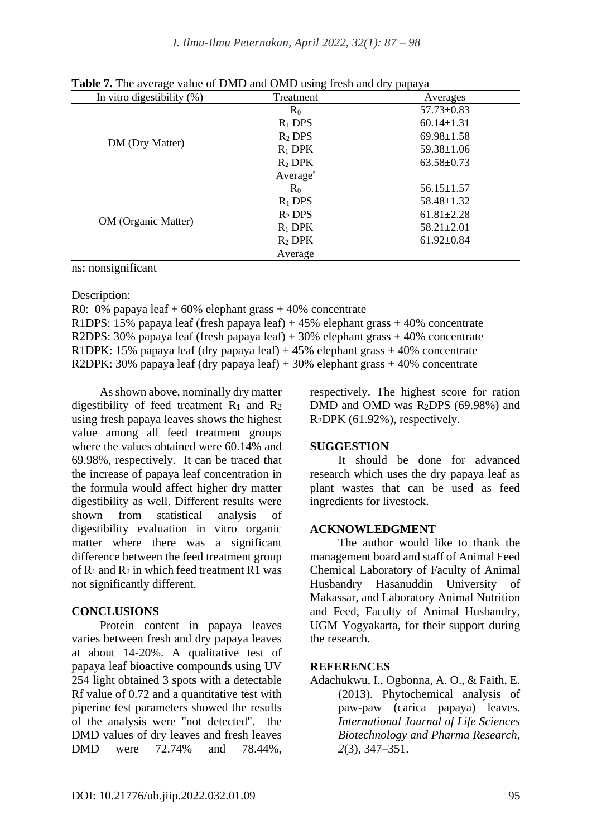| In vitro digestibility $(\%)$ | Treatment            | Averages         |
|-------------------------------|----------------------|------------------|
|                               | $R_0$                | $57.73 \pm 0.83$ |
|                               | $R_1$ DPS            | $60.14 \pm 1.31$ |
|                               | $R_2$ DPS            | $69.98 \pm 1.58$ |
| DM (Dry Matter)               | $R_1$ DPK            | $59.38 \pm 1.06$ |
|                               | $R_2$ DPK            | $63.58 \pm 0.73$ |
|                               | Average <sup>s</sup> |                  |
|                               | $R_0$                | $56.15 \pm 1.57$ |
| <b>OM</b> (Organic Matter)    | $R_1$ DPS            | $58.48 \pm 1.32$ |
|                               | $R_2$ DPS            | $61.81 \pm 2.28$ |
|                               | $R_1$ DPK            | $58.21 \pm 2.01$ |
|                               | $R_2$ DPK            | $61.92 \pm 0.84$ |
|                               | Average              |                  |

**Table 7.** The average value of DMD and OMD using fresh and dry papaya

ns: nonsignificant

Description:

R0: 0% papaya leaf  $+ 60%$  elephant grass  $+ 40%$  concentrate R1DPS: 15% papaya leaf (fresh papaya leaf) + 45% elephant grass + 40% concentrate R2DPS: 30% papaya leaf (fresh papaya leaf) + 30% elephant grass + 40% concentrate R1DPK: 15% papaya leaf (dry papaya leaf) + 45% elephant grass + 40% concentrate R2DPK: 30% papaya leaf (dry papaya leaf) + 30% elephant grass + 40% concentrate

As shown above, nominally dry matter digestibility of feed treatment  $R_1$  and  $R_2$ using fresh papaya leaves shows the highest value among all feed treatment groups where the values obtained were 60.14% and 69.98%, respectively. It can be traced that the increase of papaya leaf concentration in the formula would affect higher dry matter digestibility as well. Different results were shown from statistical analysis of digestibility evaluation in vitro organic matter where there was a significant difference between the feed treatment group of R<sup>1</sup> and R<sup>2</sup> in which feed treatment R1 was not significantly different.

# **CONCLUSIONS**

Protein content in papaya leaves varies between fresh and dry papaya leaves at about 14-20%. A qualitative test of papaya leaf bioactive compounds using UV 254 light obtained 3 spots with a detectable Rf value of 0.72 and a quantitative test with piperine test parameters showed the results of the analysis were "not detected". the DMD values of dry leaves and fresh leaves DMD were 72.74% and 78.44%,

respectively. The highest score for ration DMD and OMD was R2DPS (69.98%) and R2DPK (61.92%), respectively.

# **SUGGESTION**

It should be done for advanced research which uses the dry papaya leaf as plant wastes that can be used as feed ingredients for livestock.

# **ACKNOWLEDGMENT**

The author would like to thank the management board and staff of Animal Feed Chemical Laboratory of Faculty of Animal Husbandry Hasanuddin University Makassar, and Laboratory Animal Nutrition and Feed, Faculty of Animal Husbandry, UGM Yogyakarta, for their support during the research.

# **REFERENCES**

Adachukwu, I., Ogbonna, A. O., & Faith, E. (2013). Phytochemical analysis of paw-paw (carica papaya) leaves. *International Journal of Life Sciences Biotechnology and Pharma Research*, *2*(3), 347–351.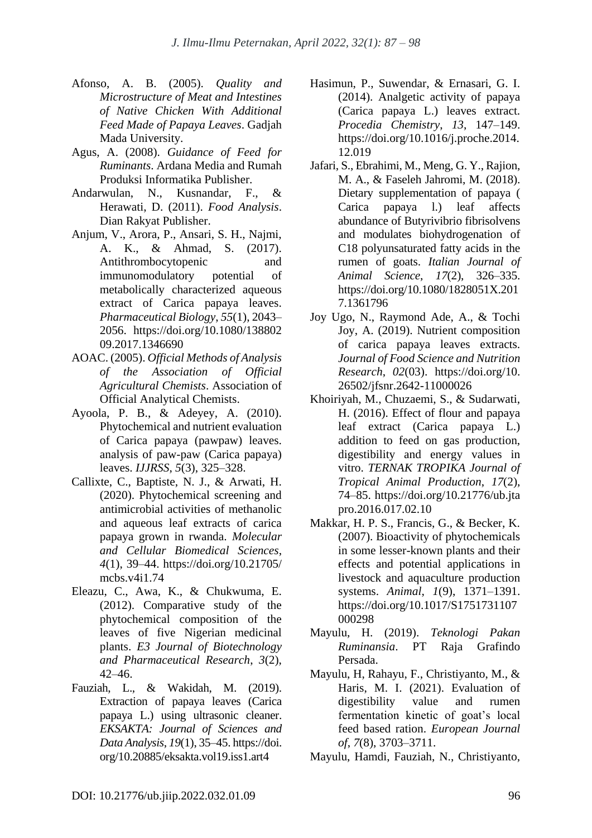- Afonso, A. B. (2005). *Quality and Microstructure of Meat and Intestines of Native Chicken With Additional Feed Made of Papaya Leaves*. Gadjah Mada University.
- Agus, A. (2008). *Guidance of Feed for Ruminants*. Ardana Media and Rumah Produksi Informatika Publisher.
- Andarwulan, N., Kusnandar, F., & Herawati, D. (2011). *Food Analysis*. Dian Rakyat Publisher.
- Anjum, V., Arora, P., Ansari, S. H., Najmi, A. K., & Ahmad, S. (2017). Antithrombocytopenic and immunomodulatory potential of metabolically characterized aqueous extract of Carica papaya leaves. *Pharmaceutical Biology*, *55*(1), 2043– 2056. https://doi.org/10.1080/138802 09.2017.1346690
- AOAC. (2005). *Official Methods of Analysis of the Association of Official Agricultural Chemists*. Association of Official Analytical Chemists.
- Ayoola, P. B., & Adeyey, A. (2010). Phytochemical and nutrient evaluation of Carica papaya (pawpaw) leaves. analysis of paw-paw (Carica papaya) leaves. *IJJRSS*, *5*(3), 325–328.
- Callixte, C., Baptiste, N. J., & Arwati, H. (2020). Phytochemical screening and antimicrobial activities of methanolic and aqueous leaf extracts of carica papaya grown in rwanda. *Molecular and Cellular Biomedical Sciences*, *4*(1), 39–44. https://doi.org/10.21705/ mcbs.v4i1.74
- Eleazu, C., Awa, K., & Chukwuma, E. (2012). Comparative study of the phytochemical composition of the leaves of five Nigerian medicinal plants. *E3 Journal of Biotechnology and Pharmaceutical Research*, *3*(2),  $42-46$
- Fauziah, L., & Wakidah, M. (2019). Extraction of papaya leaves (Carica papaya L.) using ultrasonic cleaner. *EKSAKTA: Journal of Sciences and Data Analysis*, *19*(1), 35–45. https://doi. org/10.20885/eksakta.vol19.iss1.art4
- Hasimun, P., Suwendar, & Ernasari, G. I. (2014). Analgetic activity of papaya (Carica papaya L.) leaves extract. *Procedia Chemistry*, *13*, 147–149. https://doi.org/10.1016/j.proche.2014. 12.019
- Jafari, S., Ebrahimi, M., Meng, G. Y., Rajion, M. A., & Faseleh Jahromi, M. (2018). Dietary supplementation of papaya ( Carica papaya l.) leaf affects abundance of Butyrivibrio fibrisolvens and modulates biohydrogenation of C18 polyunsaturated fatty acids in the rumen of goats. *Italian Journal of Animal Science*, *17*(2), 326–335. https://doi.org/10.1080/1828051X.201 7.1361796
- Joy Ugo, N., Raymond Ade, A., & Tochi Joy, A. (2019). Nutrient composition of carica papaya leaves extracts. *Journal of Food Science and Nutrition Research*, *02*(03). https://doi.org/10. 26502/jfsnr.2642-11000026
- Khoiriyah, M., Chuzaemi, S., & Sudarwati, H. (2016). Effect of flour and papaya leaf extract (Carica papaya L.) addition to feed on gas production, digestibility and energy values in vitro. *TERNAK TROPIKA Journal of Tropical Animal Production*, *17*(2), 74–85. https://doi.org/10.21776/ub.jta pro.2016.017.02.10
- Makkar, H. P. S., Francis, G., & Becker, K. (2007). Bioactivity of phytochemicals in some lesser-known plants and their effects and potential applications in livestock and aquaculture production systems. *Animal*, *1*(9), 1371–1391. https://doi.org/10.1017/S1751731107 000298
- Mayulu, H. (2019). *Teknologi Pakan Ruminansia*. PT Raja Grafindo Persada.
- Mayulu, H, Rahayu, F., Christiyanto, M., & Haris, M. I. (2021). Evaluation of digestibility value and rumen fermentation kinetic of goat's local feed based ration. *European Journal of*, *7*(8), 3703–3711.

Mayulu, Hamdi, Fauziah, N., Christiyanto,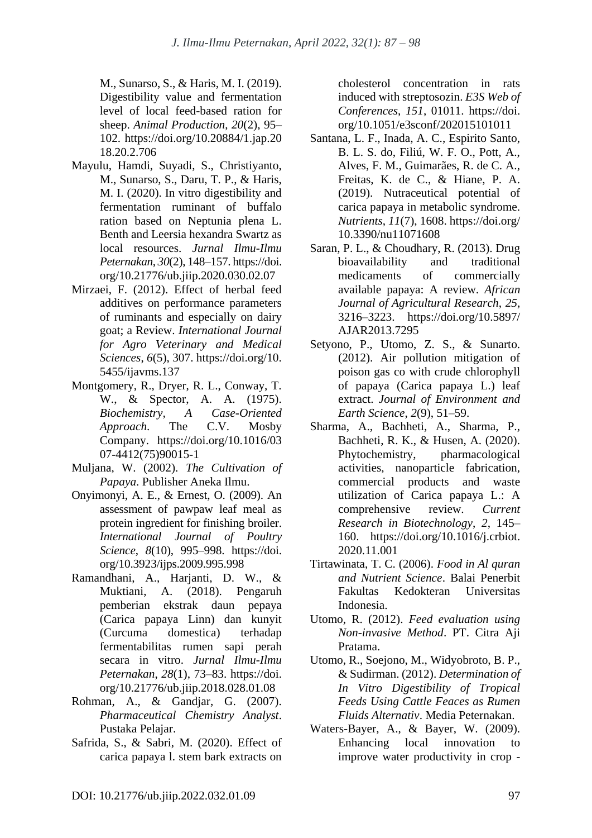M., Sunarso, S., & Haris, M. I. (2019). Digestibility value and fermentation level of local feed-based ration for sheep. *Animal Production*, *20*(2), 95– 102. https://doi.org/10.20884/1.jap.20 18.20.2.706

- Mayulu, Hamdi, Suyadi, S., Christiyanto, M., Sunarso, S., Daru, T. P., & Haris, M. I. (2020). In vitro digestibility and fermentation ruminant of buffalo ration based on Neptunia plena L. Benth and Leersia hexandra Swartz as local resources. *Jurnal Ilmu-Ilmu Peternakan*, *30*(2), 148–157. https://doi. org/10.21776/ub.jiip.2020.030.02.07
- Mirzaei, F. (2012). Effect of herbal feed additives on performance parameters of ruminants and especially on dairy goat; a Review. *International Journal for Agro Veterinary and Medical Sciences*, *6*(5), 307. https://doi.org/10. 5455/ijavms.137
- Montgomery, R., Dryer, R. L., Conway, T. W., & Spector, A. A. (1975). *Biochemistry, A Case-Oriented Approach*. The C.V. Mosby Company. https://doi.org/10.1016/03 07-4412(75)90015-1
- Muljana, W. (2002). *The Cultivation of Papaya*. Publisher Aneka Ilmu.
- Onyimonyi, A. E., & Ernest, O. (2009). An assessment of pawpaw leaf meal as protein ingredient for finishing broiler. *International Journal of Poultry Science*, *8*(10), 995–998. https://doi. org/10.3923/ijps.2009.995.998
- Ramandhani, A., Harjanti, D. W., & Muktiani, A. (2018). Pengaruh pemberian ekstrak daun pepaya (Carica papaya Linn) dan kunyit (Curcuma domestica) terhadap fermentabilitas rumen sapi perah secara in vitro. *Jurnal Ilmu-Ilmu Peternakan*, *28*(1), 73–83. https://doi. org/10.21776/ub.jiip.2018.028.01.08
- Rohman, A., & Gandjar, G. (2007). *Pharmaceutical Chemistry Analyst*. Pustaka Pelajar.
- Safrida, S., & Sabri, M. (2020). Effect of carica papaya l. stem bark extracts on

cholesterol concentration in rats induced with streptosozin. *E3S Web of Conferences*, *151*, 01011. https://doi. org/10.1051/e3sconf/202015101011

- Santana, L. F., Inada, A. C., Espirito Santo, B. L. S. do, Filiú, W. F. O., Pott, A., Alves, F. M., Guimarães, R. de C. A., Freitas, K. de C., & Hiane, P. A. (2019). Nutraceutical potential of carica papaya in metabolic syndrome. *Nutrients*, *11*(7), 1608. https://doi.org/ 10.3390/nu11071608
- Saran, P. L., & Choudhary, R. (2013). Drug bioavailability and traditional medicaments of commercially available papaya: A review. *African Journal of Agricultural Research*, *25*, 3216–3223. https://doi.org/10.5897/ AJAR2013.7295
- Setyono, P., Utomo, Z. S., & Sunarto. (2012). Air pollution mitigation of poison gas co with crude chlorophyll of papaya (Carica papaya L.) leaf extract. *Journal of Environment and Earth Science*, *2*(9), 51–59.
- Sharma, A., Bachheti, A., Sharma, P., Bachheti, R. K., & Husen, A. (2020). Phytochemistry, pharmacological activities, nanoparticle fabrication, commercial products and waste utilization of Carica papaya L.: A comprehensive review. *Current Research in Biotechnology*, *2*, 145– 160. https://doi.org/10.1016/j.crbiot. 2020.11.001
- Tirtawinata, T. C. (2006). *Food in Al quran and Nutrient Science*. Balai Penerbit Fakultas Kedokteran Universitas Indonesia.
- Utomo, R. (2012). *Feed evaluation using Non-invasive Method*. PT. Citra Aji Pratama.
- Utomo, R., Soejono, M., Widyobroto, B. P., & Sudirman. (2012). *Determination of In Vitro Digestibility of Tropical Feeds Using Cattle Feaces as Rumen Fluids Alternativ*. Media Peternakan.
- Waters-Bayer, A., & Bayer, W. (2009). Enhancing local innovation to improve water productivity in crop -